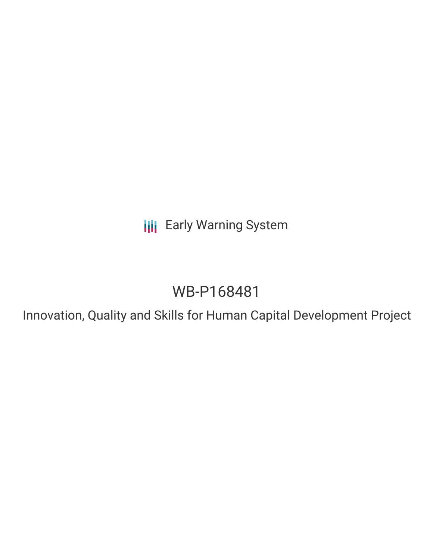**III** Early Warning System

# WB-P168481

Innovation, Quality and Skills for Human Capital Development Project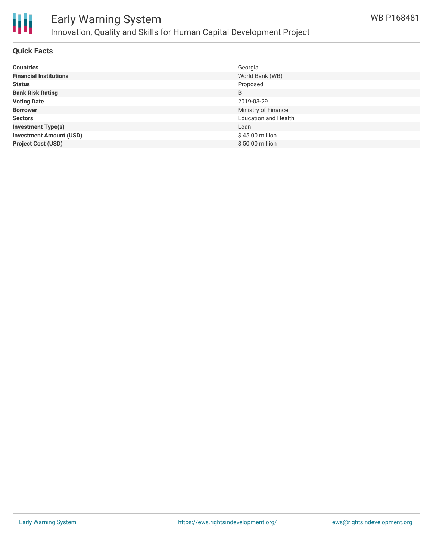

## Early Warning System Innovation, Quality and Skills for Human Capital Development Project

#### **Quick Facts**

| <b>Countries</b>               | Georgia                     |
|--------------------------------|-----------------------------|
| <b>Financial Institutions</b>  | World Bank (WB)             |
| <b>Status</b>                  | Proposed                    |
| <b>Bank Risk Rating</b>        | B                           |
| <b>Voting Date</b>             | 2019-03-29                  |
| <b>Borrower</b>                | Ministry of Finance         |
| <b>Sectors</b>                 | <b>Education and Health</b> |
| <b>Investment Type(s)</b>      | Loan                        |
| <b>Investment Amount (USD)</b> | \$45.00 million             |
| <b>Project Cost (USD)</b>      | \$50.00 million             |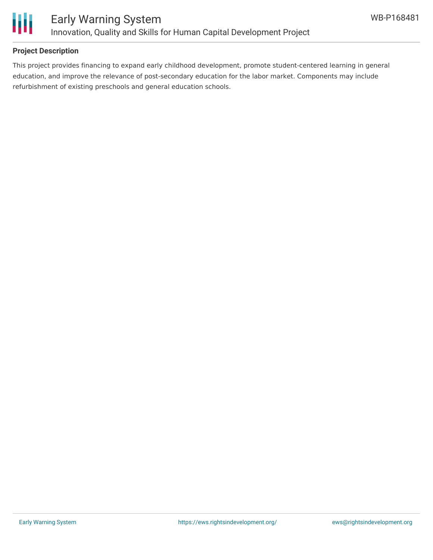

#### **Project Description**

This project provides financing to expand early childhood development, promote student-centered learning in general education, and improve the relevance of post-secondary education for the labor market. Components may include refurbishment of existing preschools and general education schools.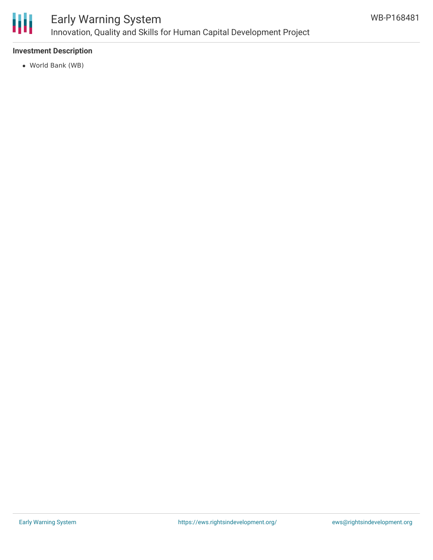

### Early Warning System Innovation, Quality and Skills for Human Capital Development Project

#### **Investment Description**

World Bank (WB)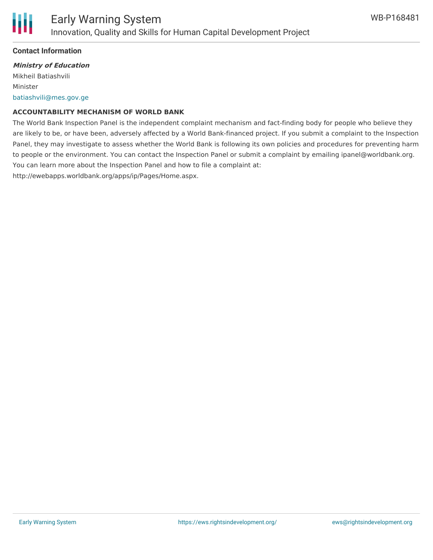

#### **Contact Information**

#### **Ministry of Education**

Mikheil Batiashvili Minister [batiashvili@mes.gov.ge](mailto:batiashvili@mes.gov.ge)

#### **ACCOUNTABILITY MECHANISM OF WORLD BANK**

The World Bank Inspection Panel is the independent complaint mechanism and fact-finding body for people who believe they are likely to be, or have been, adversely affected by a World Bank-financed project. If you submit a complaint to the Inspection Panel, they may investigate to assess whether the World Bank is following its own policies and procedures for preventing harm to people or the environment. You can contact the Inspection Panel or submit a complaint by emailing ipanel@worldbank.org. You can learn more about the Inspection Panel and how to file a complaint at: http://ewebapps.worldbank.org/apps/ip/Pages/Home.aspx.